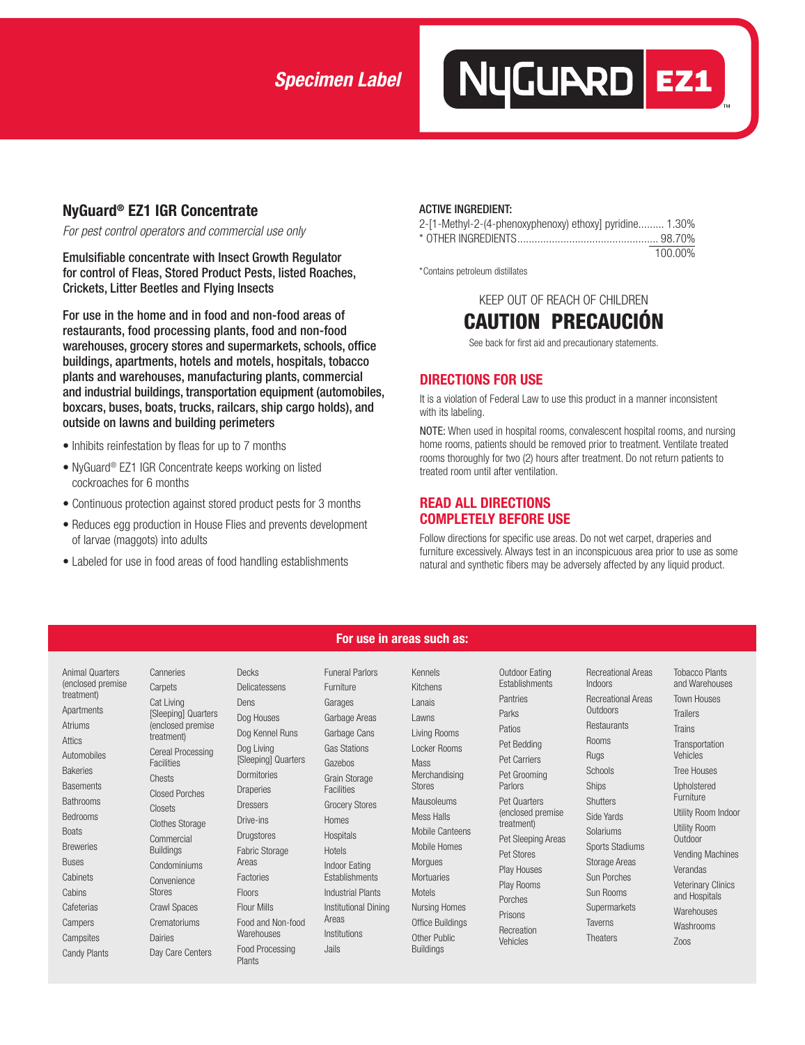# *Specimen Label*

## **NyGuard® EZ1 IGR Concentrate**

*For pest control operators and commercial use only*

Emulsifiable concentrate with Insect Growth Regulator for control of Fleas, Stored Product Pests, listed Roaches, Crickets, Litter Beetles and Flying Insects

For use in the home and in food and non-food areas of restaurants, food processing plants, food and non-food warehouses, grocery stores and supermarkets, schools, office buildings, apartments, hotels and motels, hospitals, tobacco plants and warehouses, manufacturing plants, commercial and industrial buildings, transportation equipment (automobiles, boxcars, buses, boats, trucks, railcars, ship cargo holds), and outside on lawns and building perimeters

- Inhibits reinfestation by fleas for up to 7 months
- NyGuard® EZ1 IGR Concentrate keeps working on listed cockroaches for 6 months
- Continuous protection against stored product pests for 3 months
- Reduces egg production in House Flies and prevents development of larvae (maggots) into adults
- Labeled for use in food areas of food handling establishments

#### ACTIVE INGREDIENT:

| 2-[1-Methyl-2-(4-phenoxyphenoxy) ethoxy] pyridine 1.30% |         |
|---------------------------------------------------------|---------|
|                                                         |         |
|                                                         | 100.00% |

NUGURRD EZ1

\*Contains petroleum distillates

KEEP OUT OF REACH OF CHILDREN



See back for first aid and precautionary statements.

#### **DIRECTIONS FOR USE**

It is a violation of Federal Law to use this product in a manner inconsistent with its labeling.

NOTE: When used in hospital rooms, convalescent hospital rooms, and nursing home rooms, patients should be removed prior to treatment. Ventilate treated rooms thoroughly for two (2) hours after treatment. Do not return patients to treated room until after ventilation.

## **READ ALL DIRECTIONS COMPLETELY BEFORE USE**

Follow directions for specific use areas. Do not wet carpet, draperies and furniture excessively. Always test in an inconspicuous area prior to use as some natural and synthetic fibers may be adversely affected by any liquid product.

#### Animal Quarters (enclosed premise treatment) Apartments Atriums Attics Automobiles Bakeries **Basements Bathrooms** Bedrooms **Boats Breweries** Buses Cabinets **Cabins** Cafeterias Campers **Campsites**

Candy Plants

Canneries Carpets Cat Living [Sleeping] Quarters (enclosed premise treatment) Cereal Processing Facilities Chests Closed Porches Closets Clothes Storage **Commercial** Buildings Condominiums **Convenience** Stores Crawl Spaces **Crematoriums** Dairies Day Care Centers Decks Delicatessens Dens Dog Houses Dog Kennel Runs Dog Living [Sleeping] Quarters Dormitories Draperies Dressers Drive-ins Drugstores Fabric Storage Areas Factories Floors Flour Mills Food and Non-food **Warehouses** Food Processing Plants

#### **For use in areas such as:**

Furniture Garages Garbage Areas Garbage Cans Gas Stations Gazebos Grain Storage **Facilities** Grocery Stores Homes Hospitals Hotels Indoor Eating Establishments Industrial Plants Institutional Dining Areas Institutions Jails

Funeral Parlors

Kennels Kitchens Lanais Lawns Living Rooms Locker Rooms Mass Merchandising Stores Mausoleums Mess Halls Mobile Canteens Mobile Homes Morgues **Mortuaries** Motels Nursing Homes Office Buildings Other Public Buildings

Outdoor Eating **Establishments** Pantries Parks Patios Pet Bedding Pet Carriers Pet Grooming Parlors Pet Quarters treatment) Pet Stores Play Houses Play Rooms Porches Prisons Recreation Vehicles

(enclosed premise Pet Sleeping Areas

Recreational Areas Indoors Recreational Areas **Outdoors Restaurants** Rooms Rugs **Schools** Ships **Shutters** Side Yards Solariums Sports Stadiums Storage Areas Sun Porches Sun Rooms **Supermarkets** Taverns

**Theaters** 

Tobacco Plants and Warehouses Town Houses **Trailers** Trains **Transportation** Vehicles Tree Houses Upholstered **Furniture** Utility Room Indoor Utility Room **Outdoor** Vending Machines Verandas Veterinary Clinics and Hospitals **Warehouses** Washrooms Zoos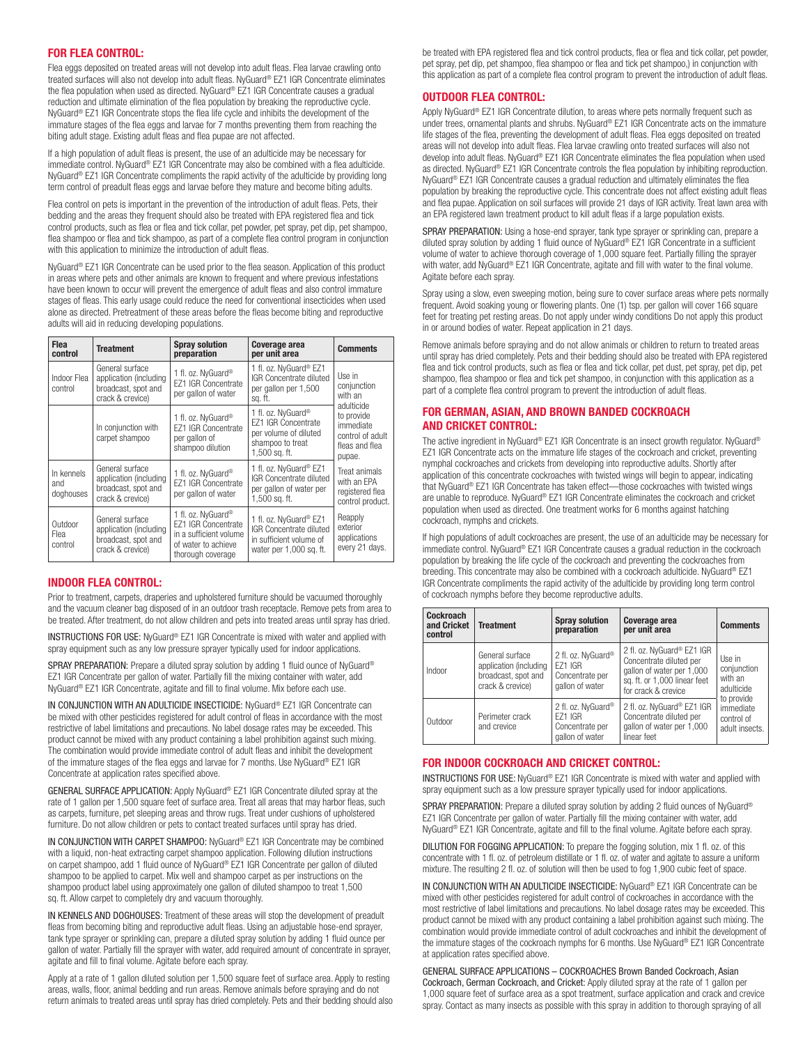#### **FOR FLEA CONTROL:**

Flea eggs deposited on treated areas will not develop into adult fleas. Flea larvae crawling onto treated surfaces will also not develop into adult fleas. NyGuard® EZ1 IGR Concentrate eliminates the flea population when used as directed. NyGuard® EZ1 IGR Concentrate causes a gradual reduction and ultimate elimination of the flea population by breaking the reproductive cycle. NyGuard® EZ1 IGR Concentrate stops the flea life cycle and inhibits the development of the immature stages of the flea eggs and larvae for 7 months preventing them from reaching the biting adult stage. Existing adult fleas and flea pupae are not affected.

If a high population of adult fleas is present, the use of an adulticide may be necessary for immediate control. NyGuard® EZ1 IGR Concentrate may also be combined with a flea adulticide. NyGuard® EZ1 IGR Concentrate compliments the rapid activity of the adulticide by providing long term control of preadult fleas eggs and larvae before they mature and become biting adults.

Flea control on pets is important in the prevention of the introduction of adult fleas. Pets, their bedding and the areas they frequent should also be treated with EPA registered flea and tick control products, such as flea or flea and tick collar, pet powder, pet spray, pet dip, pet shampoo, flea shampoo or flea and tick shampoo, as part of a complete flea control program in conjunction with this application to minimize the introduction of adult fleas.

NyGuard® EZ1 IGR Concentrate can be used prior to the flea season. Application of this product in areas where pets and other animals are known to frequent and where previous infestations have been known to occur will prevent the emergence of adult fleas and also control immature stages of fleas. This early usage could reduce the need for conventional insecticides when used alone as directed. Pretreatment of these areas before the fleas become biting and reproductive adults will aid in reducing developing populations.

| <b>Flea</b><br>control         | <b>Treatment</b>                                                                     | <b>Spray solution</b><br>preparation                                                                                               | Coverage area<br>per unit area                                                                                   | <b>Comments</b>                                                         |  |
|--------------------------------|--------------------------------------------------------------------------------------|------------------------------------------------------------------------------------------------------------------------------------|------------------------------------------------------------------------------------------------------------------|-------------------------------------------------------------------------|--|
| Indoor Flea<br>control         | General surface<br>application (including<br>broadcast, spot and<br>crack & crevice) | 1 fl. oz. NvGuard <sup>®</sup><br>F71 IGR Concentrate<br>per gallon of water                                                       | 1 fl. oz. NyGuard <sup>®</sup> EZ1<br>IGR Concentrate diluted<br>per gallon per 1,500<br>sq. ft.                 | Use in<br>conjunction<br>with an<br>adulticide                          |  |
|                                | In conjunction with<br>carpet shampoo                                                | 1 fl. oz. NyGuard <sup>®</sup><br>EZ1 IGR Concentrate<br>per gallon of<br>shampoo dilution                                         | 1 fl. oz. NvGuard®<br>F71 IGR Concentrate<br>per volume of diluted<br>shampoo to treat<br>1.500 sq. ft.          | to provide<br>immediate<br>control of adult<br>fleas and flea<br>pupae. |  |
| In kennels<br>and<br>doghouses | General surface<br>application (including<br>broadcast, spot and<br>crack & crevice) | 1 fl. oz. NyGuard <sup>®</sup><br>EZ1 IGR Concentrate<br>per gallon of water                                                       | 1 fl. oz. NyGuard <sup>®</sup> EZ1<br><b>IGR</b> Concentrate diluted<br>per gallon of water per<br>1,500 sq. ft. | Treat animals<br>with an FPA<br>registered flea<br>control product.     |  |
| Outdoor<br>Flea<br>control     | General surface<br>application (including<br>broadcast, spot and<br>crack & crevice) | 1 fl. oz. NyGuard <sup>®</sup><br><b>EZ1 IGR Concentrate</b><br>in a sufficient volume<br>of water to achieve<br>thorough coverage | 1 fl. oz. NyGuard® EZ1<br>IGR Concentrate diluted<br>in sufficient volume of<br>water per 1,000 sq. ft.          | Reapply<br>exterior<br>applications<br>every 21 days.                   |  |

#### **INDOOR FLEA CONTROL:**

Prior to treatment, carpets, draperies and upholstered furniture should be vacuumed thoroughly and the vacuum cleaner bag disposed of in an outdoor trash receptacle. Remove pets from area to be treated. After treatment, do not allow children and pets into treated areas until spray has dried.

INSTRUCTIONS FOR USE: NyGuard® EZ1 IGR Concentrate is mixed with water and applied with spray equipment such as any low pressure sprayer typically used for indoor applications.

SPRAY PREPARATION: Prepare a diluted spray solution by adding 1 fluid ounce of NyGuard® EZ1 IGR Concentrate per gallon of water. Partially fill the mixing container with water, add NyGuard® EZ1 IGR Concentrate, agitate and fill to final volume. Mix before each use.

IN CONJUNCTION WITH AN ADULTICIDE INSECTICIDE: NyGuard® EZ1 IGR Concentrate can be mixed with other pesticides registered for adult control of fleas in accordance with the most restrictive of label limitations and precautions. No label dosage rates may be exceeded. This product cannot be mixed with any product containing a label prohibition against such mixing. The combination would provide immediate control of adult fleas and inhibit the development of the immature stages of the flea eggs and larvae for 7 months. Use NyGuard® EZ1 IGR Concentrate at application rates specified above.

GENERAL SURFACE APPLICATION: Apply NyGuard® EZ1 IGR Concentrate diluted spray at the rate of 1 gallon per 1,500 square feet of surface area. Treat all areas that may harbor fleas, such as carpets, furniture, pet sleeping areas and throw rugs. Treat under cushions of upholstered furniture. Do not allow children or pets to contact treated surfaces until spray has dried.

IN CONJUNCTION WITH CARPET SHAMPOO: NyGuard® EZ1 IGR Concentrate may be combined with a liquid, non-heat extracting carpet shampoo application. Following dilution instructions on carpet shampoo, add 1 fluid ounce of NyGuard® EZ1 IGR Concentrate per gallon of diluted shampoo to be applied to carpet. Mix well and shampoo carpet as per instructions on the shampoo product label using approximately one gallon of diluted shampoo to treat 1,500 sq. ft. Allow carpet to completely dry and vacuum thoroughly.

IN KENNELS AND DOGHOUSES: Treatment of these areas will stop the development of preadult fleas from becoming biting and reproductive adult fleas. Using an adjustable hose-end sprayer, tank type sprayer or sprinkling can, prepare a diluted spray solution by adding 1 fluid ounce per gallon of water. Partially fill the sprayer with water, add required amount of concentrate in sprayer, agitate and fill to final volume. Agitate before each spray.

Apply at a rate of 1 gallon diluted solution per 1,500 square feet of surface area. Apply to resting areas, walls, floor, animal bedding and run areas. Remove animals before spraying and do not return animals to treated areas until spray has dried completely. Pets and their bedding should also be treated with EPA registered flea and tick control products, flea or flea and tick collar, pet powder, pet spray, pet dip, pet shampoo, flea shampoo or flea and tick pet shampoo,) in conjunction with this application as part of a complete flea control program to prevent the introduction of adult fleas.

#### **OUTDOOR FLEA CONTROL:**

Apply NyGuard® EZ1 IGR Concentrate dilution, to areas where pets normally frequent such as under trees, ornamental plants and shrubs. NyGuard® EZ1 IGR Concentrate acts on the immature life stages of the flea, preventing the development of adult fleas. Flea eggs deposited on treated areas will not develop into adult fleas. Flea larvae crawling onto treated surfaces will also not develop into adult fleas. NyGuard® EZ1 IGR Concentrate eliminates the flea population when used as directed. NyGuard® EZ1 IGR Concentrate controls the flea population by inhibiting reproduction. NyGuard® EZ1 IGR Concentrate causes a gradual reduction and ultimately eliminates the flea population by breaking the reproductive cycle. This concentrate does not affect existing adult fleas and flea pupae. Application on soil surfaces will provide 21 days of IGR activity. Treat lawn area with an EPA registered lawn treatment product to kill adult fleas if a large population exists.

SPRAY PREPARATION: Using a hose-end sprayer, tank type sprayer or sprinkling can, prepare a diluted spray solution by adding 1 fluid ounce of NyGuard® EZ1 IGR Concentrate in a sufficient volume of water to achieve thorough coverage of 1,000 square feet. Partially filling the sprayer with water, add NyGuard® EZ1 IGR Concentrate, agitate and fill with water to the final volume. Agitate before each spray.

Spray using a slow, even sweeping motion, being sure to cover surface areas where pets normally frequent. Avoid soaking young or flowering plants. One (1) tsp. per gallon will cover 166 square feet for treating pet resting areas. Do not apply under windy conditions Do not apply this product in or around bodies of water. Repeat application in 21 days.

Remove animals before spraying and do not allow animals or children to return to treated areas until spray has dried completely. Pets and their bedding should also be treated with EPA registered flea and tick control products, such as flea or flea and tick collar, pet dust, pet spray, pet dip, pet shampoo, flea shampoo or flea and tick pet shampoo, in conjunction with this application as a part of a complete flea control program to prevent the introduction of adult fleas.

#### **FOR GERMAN, ASIAN, AND BROWN BANDED COCKROACH AND CRICKET CONTROL:**

The active ingredient in NyGuard® EZ1 IGR Concentrate is an insect growth regulator. NyGuard® EZ1 IGR Concentrate acts on the immature life stages of the cockroach and cricket, preventing nymphal cockroaches and crickets from developing into reproductive adults. Shortly after application of this concentrate cockroaches with twisted wings will begin to appear, indicating that NyGuard® EZ1 IGR Concentrate has taken effect—those cockroaches with twisted wings are unable to reproduce. NyGuard® EZ1 IGR Concentrate eliminates the cockroach and cricket population when used as directed. One treatment works for 6 months against hatching cockroach, nymphs and crickets.

If high populations of adult cockroaches are present, the use of an adulticide may be necessary for immediate control. NyGuard® EZ1 IGR Concentrate causes a gradual reduction in the cockroach population by breaking the life cycle of the cockroach and preventing the cockroaches from breeding. This concentrate may also be combined with a cockroach adulticide. NyGuard® EZ1 IGR Concentrate compliments the rapid activity of the adulticide by providing long term control of cockroach nymphs before they become reproductive adults.

| Cockroach<br>and Cricket<br>control | <b>Treatment</b>                                                                     | <b>Spray solution</b><br>preparation                                       | Coverage area<br>per unit area                                                                                                            | <b>Comments</b>                                         |  |
|-------------------------------------|--------------------------------------------------------------------------------------|----------------------------------------------------------------------------|-------------------------------------------------------------------------------------------------------------------------------------------|---------------------------------------------------------|--|
| Indoor                              | General surface<br>application (including<br>broadcast, spot and<br>crack & crevice) | 2 fl. oz. NyGuard®<br><b>F71 IGR</b><br>Concentrate per<br>gallon of water | 2 fl. oz. NyGuard® EZ1 IGR<br>Concentrate diluted per<br>gallon of water per 1,000<br>sq. ft. or 1,000 linear feet<br>for crack & crevice | Use in<br>conjunction<br>with an<br>adulticide          |  |
| Outdoor                             | Perimeter crack<br>and crevice                                                       | 2 fl. oz. NyGuard®<br><b>F71 IGR</b><br>Concentrate per<br>gallon of water | 2 fl. oz. NyGuard® EZ1 IGR<br>Concentrate diluted per<br>gallon of water per 1,000<br>linear feet                                         | to provide<br>immediate<br>control of<br>adult insects. |  |

#### **FOR INDOOR COCKROACH AND CRICKET CONTROL:**

INSTRUCTIONS FOR USE: NyGuard® EZ1 IGR Concentrate is mixed with water and applied with spray equipment such as a low pressure sprayer typically used for indoor applications.

SPRAY PREPARATION: Prepare a diluted spray solution by adding 2 fluid ounces of NyGuard® EZ1 IGR Concentrate per gallon of water. Partially fill the mixing container with water, add NyGuard® EZ1 IGR Concentrate, agitate and fill to the final volume. Agitate before each spray.

DILUTION FOR FOGGING APPLICATION: To prepare the fogging solution, mix 1 fl. oz. of this concentrate with 1 fl. oz. of petroleum distillate or 1 fl. oz. of water and agitate to assure a uniform mixture. The resulting 2 fl. oz. of solution will then be used to fog 1,900 cubic feet of space.

IN CONJUNCTION WITH AN ADULTICIDE INSECTICIDE: NyGuard® EZ1 IGR Concentrate can be mixed with other pesticides registered for adult control of cockroaches in accordance with the most restrictive of label limitations and precautions. No label dosage rates may be exceeded. This product cannot be mixed with any product containing a label prohibition against such mixing. The combination would provide immediate control of adult cockroaches and inhibit the development of the immature stages of the cockroach nymphs for 6 months. Use NyGuard® EZ1 IGR Concentrate at application rates specified above.

GENERAL SURFACE APPLICATIONS – COCKROACHES Brown Banded Cockroach, Asian Cockroach, German Cockroach, and Cricket: Apply diluted spray at the rate of 1 gallon per 1,000 square feet of surface area as a spot treatment, surface application and crack and crevice spray. Contact as many insects as possible with this spray in addition to thorough spraying of all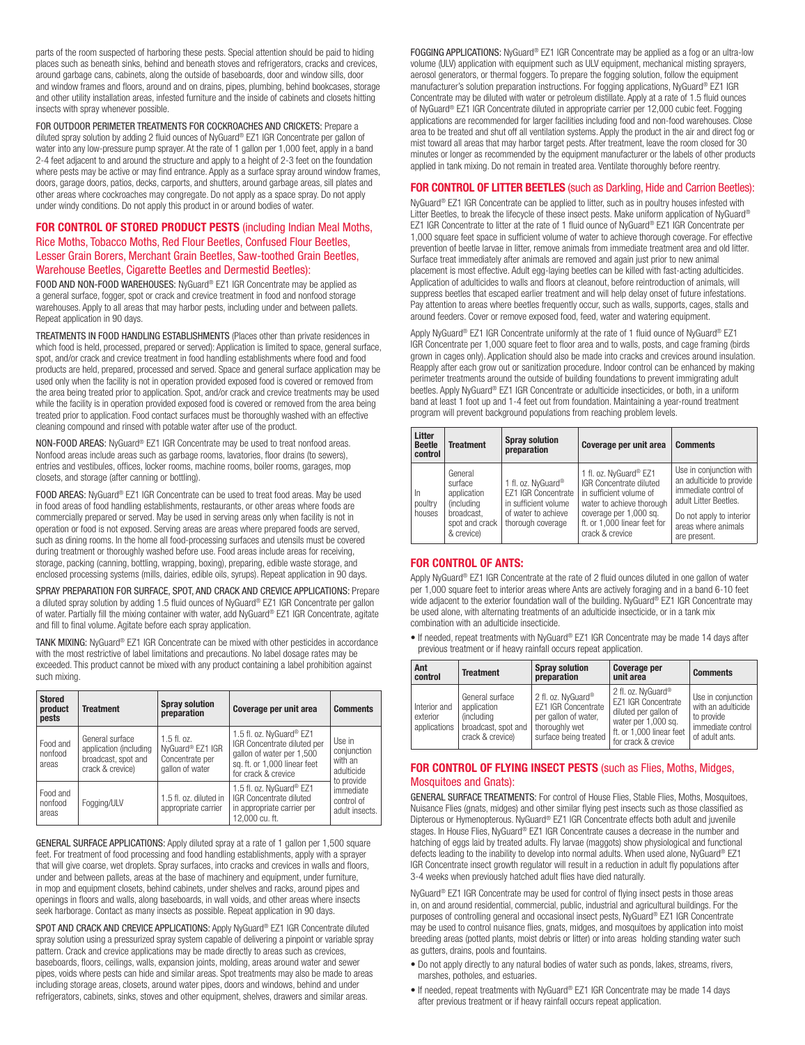parts of the room suspected of harboring these pests. Special attention should be paid to hiding places such as beneath sinks, behind and beneath stoves and refrigerators, cracks and crevices, around garbage cans, cabinets, along the outside of baseboards, door and window sills, door and window frames and floors, around and on drains, pipes, plumbing, behind bookcases, storage and other utility installation areas, infested furniture and the inside of cabinets and closets hitting insects with spray whenever possible.

FOR OUTDOOR PERIMETER TREATMENTS FOR COCKROACHES AND CRICKETS: Prepare a diluted spray solution by adding 2 fluid ounces of NyGuard® EZ1 IGR Concentrate per gallon of water into any low-pressure pump sprayer. At the rate of 1 gallon per 1,000 feet, apply in a band 2-4 feet adjacent to and around the structure and apply to a height of 2-3 feet on the foundation where pests may be active or may find entrance. Apply as a surface spray around window frames, doors, garage doors, patios, decks, carports, and shutters, around garbage areas, sill plates and other areas where cockroaches may congregate. Do not apply as a space spray. Do not apply under windy conditions. Do not apply this product in or around bodies of water.

#### **FOR CONTROL OF STORED PRODUCT PESTS** (including Indian Meal Moths, Rice Moths, Tobacco Moths, Red Flour Beetles, Confused Flour Beetles, Lesser Grain Borers, Merchant Grain Beetles, Saw-toothed Grain Beetles, Warehouse Beetles, Cigarette Beetles and Dermestid Beetles):

FOOD AND NON-FOOD WAREHOUSES: NyGuard® EZ1 IGR Concentrate may be applied as a general surface, fogger, spot or crack and crevice treatment in food and nonfood storage warehouses. Apply to all areas that may harbor pests, including under and between pallets. Repeat application in 90 days.

TREATMENTS IN FOOD HANDLING ESTABLISHMENTS (Places other than private residences in which food is held, processed, prepared or served): Application is limited to space, general surface, spot, and/or crack and crevice treatment in food handling establishments where food and food products are held, prepared, processed and served. Space and general surface application may be used only when the facility is not in operation provided exposed food is covered or removed from the area being treated prior to application. Spot, and/or crack and crevice treatments may be used while the facility is in operation provided exposed food is covered or removed from the area being treated prior to application. Food contact surfaces must be thoroughly washed with an effective cleaning compound and rinsed with potable water after use of the product.

NON-FOOD AREAS: NyGuard® EZ1 IGR Concentrate may be used to treat nonfood areas. Nonfood areas include areas such as garbage rooms, lavatories, floor drains (to sewers), entries and vestibules, offices, locker rooms, machine rooms, boiler rooms, garages, mop closets, and storage (after canning or bottling).

FOOD AREAS: NyGuard® EZ1 IGR Concentrate can be used to treat food areas. May be used in food areas of food handling establishments, restaurants, or other areas where foods are commercially prepared or served. May be used in serving areas only when facility is not in operation or food is not exposed. Serving areas are areas where prepared foods are served, such as dining rooms. In the home all food-processing surfaces and utensils must be covered during treatment or thoroughly washed before use. Food areas include areas for receiving, storage, packing (canning, bottling, wrapping, boxing), preparing, edible waste storage, and enclosed processing systems (mills, dairies, edible oils, syrups). Repeat application in 90 days.

SPRAY PREPARATION FOR SURFACE, SPOT, AND CRACK AND CREVICE APPLICATIONS: Prepare a diluted spray solution by adding 1.5 fluid ounces of NyGuard® EZ1 IGR Concentrate per gallon of water. Partially fill the mixing container with water, add NyGuard® EZ1 IGR Concentrate, agitate and fill to final volume. Agitate before each spray application.

TANK MIXING: NyGuard® EZ1 IGR Concentrate can be mixed with other pesticides in accordance with the most restrictive of label limitations and precautions. No label dosage rates may be exceeded. This product cannot be mixed with any product containing a label prohibition against such mixing.

| <b>Stored</b><br>product<br>pests | <b>Treatment</b>                                                                     | <b>Spray solution</b><br>preparation                                    | Coverage per unit area                                                                                                                      | <b>Comments</b>                                              |
|-----------------------------------|--------------------------------------------------------------------------------------|-------------------------------------------------------------------------|---------------------------------------------------------------------------------------------------------------------------------------------|--------------------------------------------------------------|
| Food and<br>nonfood<br>areas      | General surface<br>application (including<br>broadcast, spot and<br>crack & crevice) | $1.5$ fl. oz.<br>NyGuard® EZ1 IGR<br>Concentrate per<br>gallon of water | 1.5 fl. oz. NyGuard® EZ1<br>IGR Concentrate diluted per<br>gallon of water per 1,500<br>sq. ft. or 1,000 linear feet<br>for crack & crevice | Use in<br>conjunction<br>with an<br>adulticide<br>to provide |
| Food and<br>nonfood<br>areas      | Fogging/ULV                                                                          | 1.5 fl. oz. diluted in<br>appropriate carrier                           | 1.5 fl. oz. NyGuard <sup>®</sup> EZ1<br>IGR Concentrate diluted<br>in appropriate carrier per<br>12.000 cu. ft.                             | immediate<br>control of<br>adult insects.                    |

GENERAL SURFACE APPLICATIONS: Apply diluted spray at a rate of 1 gallon per 1,500 square feet. For treatment of food processing and food handling establishments, apply with a sprayer that will give coarse, wet droplets. Spray surfaces, into cracks and crevices in walls and floors, under and between pallets, areas at the base of machinery and equipment, under furniture, in mop and equipment closets, behind cabinets, under shelves and racks, around pipes and openings in floors and walls, along baseboards, in wall voids, and other areas where insects seek harborage. Contact as many insects as possible. Repeat application in 90 days.

SPOT AND CRACK AND CREVICE APPLICATIONS: Apply NyGuard® EZ1 IGR Concentrate diluted spray solution using a pressurized spray system capable of delivering a pinpoint or variable spray pattern. Crack and crevice applications may be made directly to areas such as crevices, baseboards, floors, ceilings, walls, expansion joints, molding, areas around water and sewer pipes, voids where pests can hide and similar areas. Spot treatments may also be made to areas including storage areas, closets, around water pipes, doors and windows, behind and under refrigerators, cabinets, sinks, stoves and other equipment, shelves, drawers and similar areas.

FOGGING APPLICATIONS: NyGuard® EZ1 IGR Concentrate may be applied as a fog or an ultra-low volume (ULV) application with equipment such as ULV equipment, mechanical misting sprayers, aerosol generators, or thermal foggers. To prepare the fogging solution, follow the equipment manufacturer's solution preparation instructions. For fogging applications, NyGuard® EZ1 IGR Concentrate may be diluted with water or petroleum distillate. Apply at a rate of 1.5 fluid ounces of NyGuard® EZ1 IGR Concentrate diluted in appropriate carrier per 12,000 cubic feet. Fogging applications are recommended for larger facilities including food and non-food warehouses. Close area to be treated and shut off all ventilation systems. Apply the product in the air and direct fog or mist toward all areas that may harbor target pests. After treatment, leave the room closed for 30 minutes or longer as recommended by the equipment manufacturer or the labels of other products applied in tank mixing. Do not remain in treated area. Ventilate thoroughly before reentry.

#### **FOR CONTROL OF LITTER BEETLES** (such as Darkling, Hide and Carrion Beetles):

NyGuard® EZ1 IGR Concentrate can be applied to litter, such as in poultry houses infested with Litter Beetles, to break the lifecycle of these insect pests. Make uniform application of NyGuard® EZ1 IGR Concentrate to litter at the rate of 1 fluid ounce of NyGuard® EZ1 IGR Concentrate per 1,000 square feet space in sufficient volume of water to achieve thorough coverage. For effective prevention of beetle larvae in litter, remove animals from immediate treatment area and old litter. Surface treat immediately after animals are removed and again just prior to new animal placement is most effective. Adult egg-laying beetles can be killed with fast-acting adulticides. Application of adulticides to walls and floors at cleanout, before reintroduction of animals, will suppress beetles that escaped earlier treatment and will help delay onset of future infestations. Pay attention to areas where beetles frequently occur, such as walls, supports, cages, stalls and around feeders. Cover or remove exposed food, feed, water and watering equipment.

Apply NyGuard® EZ1 IGR Concentrate uniformly at the rate of 1 fluid ounce of NyGuard® EZ1 IGR Concentrate per 1,000 square feet to floor area and to walls, posts, and cage framing (birds grown in cages only). Application should also be made into cracks and crevices around insulation. Reapply after each grow out or sanitization procedure. Indoor control can be enhanced by making perimeter treatments around the outside of building foundations to prevent immigrating adult beetles. Apply NyGuard® EZ1 IGR Concentrate or adulticide insecticides, or both, in a uniform band at least 1 foot up and 1-4 feet out from foundation. Maintaining a year-round treatment program will prevent background populations from reaching problem levels.

| Litter<br><b>Beetle</b><br>control | <b>Treatment</b>                                                                                     | <b>Spray solution</b><br>preparation                                                                          | Coverage per unit area                                                                                                                                                                        | <b>Comments</b>                                                                                                                                                         |
|------------------------------------|------------------------------------------------------------------------------------------------------|---------------------------------------------------------------------------------------------------------------|-----------------------------------------------------------------------------------------------------------------------------------------------------------------------------------------------|-------------------------------------------------------------------------------------------------------------------------------------------------------------------------|
| In<br>poultry<br>houses            | General<br>surface<br>application<br><i>(including</i><br>broadcast.<br>spot and crack<br>& crevice) | 1 fl. oz. NyGuard®<br>EZ1 IGR Concentrate<br>in sufficient volume<br>of water to achieve<br>thorough coverage | 1 fl. oz. NyGuard® EZ1<br><b>IGR</b> Concentrate diluted<br>in sufficient volume of<br>water to achieve thorough<br>coverage per 1,000 sq.<br>ft. or 1.000 linear feet for<br>crack & crevice | Use in conjunction with<br>an adulticide to provide<br>immediate control of<br>adult Litter Beetles.<br>Do not apply to interior<br>areas where animals<br>are present. |

#### **FOR CONTROL OF ANTS:**

Apply NyGuard® EZ1 IGR Concentrate at the rate of 2 fluid ounces diluted in one gallon of water per 1,000 square feet to interior areas where Ants are actively foraging and in a band 6-10 feet wide adjacent to the exterior foundation wall of the building. NyGuard® EZ1 IGR Concentrate may be used alone, with alternating treatments of an adulticide insecticide, or in a tank mix combination with an adulticide insecticide.

• If needed, repeat treatments with NyGuard® EZ1 IGR Concentrate may be made 14 days after previous treatment or if heavy rainfall occurs repeat application.

| Ant<br>control                           | <b>Treatment</b>                                                                                | <b>Spray solution</b><br>preparation                                                                         | Coverage per<br>unit area                                                                                                                                       | <b>Comments</b>                                                                               |
|------------------------------------------|-------------------------------------------------------------------------------------------------|--------------------------------------------------------------------------------------------------------------|-----------------------------------------------------------------------------------------------------------------------------------------------------------------|-----------------------------------------------------------------------------------------------|
| Interior and<br>exterior<br>applications | General surface<br>application<br><i>(including)</i><br>broadcast, spot and<br>crack & crevice) | 2 fl. oz. NyGuard®<br>EZ1 IGR Concentrate<br>per gallon of water,<br>thoroughly wet<br>surface being treated | 2 fl. oz. NyGuard <sup>®</sup><br><b>EZ1 IGR Concentrate</b><br>diluted per gallon of<br>water per 1,000 sq.<br>ft. or 1.000 linear feet<br>for crack & crevice | Use in conjunction<br>with an adulticide<br>to provide<br>immediate control<br>of adult ants. |

#### **FOR CONTROL OF FLYING INSECT PESTS** (such as Flies, Moths, Midges, Mosquitoes and Gnats):

GENERAL SURFACE TREATMENTS: For control of House Flies, Stable Flies, Moths, Mosquitoes, Nuisance Flies (gnats, midges) and other similar flying pest insects such as those classified as Dipterous or Hymenopterous. NyGuard® EZ1 IGR Concentrate effects both adult and juvenile stages. In House Flies, NyGuard® EZ1 IGR Concentrate causes a decrease in the number and hatching of eggs laid by treated adults. Fly larvae (maggots) show physiological and functional defects leading to the inability to develop into normal adults. When used alone, NyGuard® EZ1 IGR Concentrate insect growth regulator will result in a reduction in adult fly populations after 3-4 weeks when previously hatched adult flies have died naturally.

NyGuard® EZ1 IGR Concentrate may be used for control of flying insect pests in those areas in, on and around residential, commercial, public, industrial and agricultural buildings. For the purposes of controlling general and occasional insect pests, NyGuard® EZ1 IGR Concentrate may be used to control nuisance flies, gnats, midges, and mosquitoes by application into moist breeding areas (potted plants, moist debris or litter) or into areas holding standing water such as gutters, drains, pools and fountains.

- Do not apply directly to any natural bodies of water such as ponds, lakes, streams, rivers, marshes, potholes, and estuaries.
- If needed, repeat treatments with NyGuard® EZ1 IGR Concentrate may be made 14 days after previous treatment or if heavy rainfall occurs repeat application.